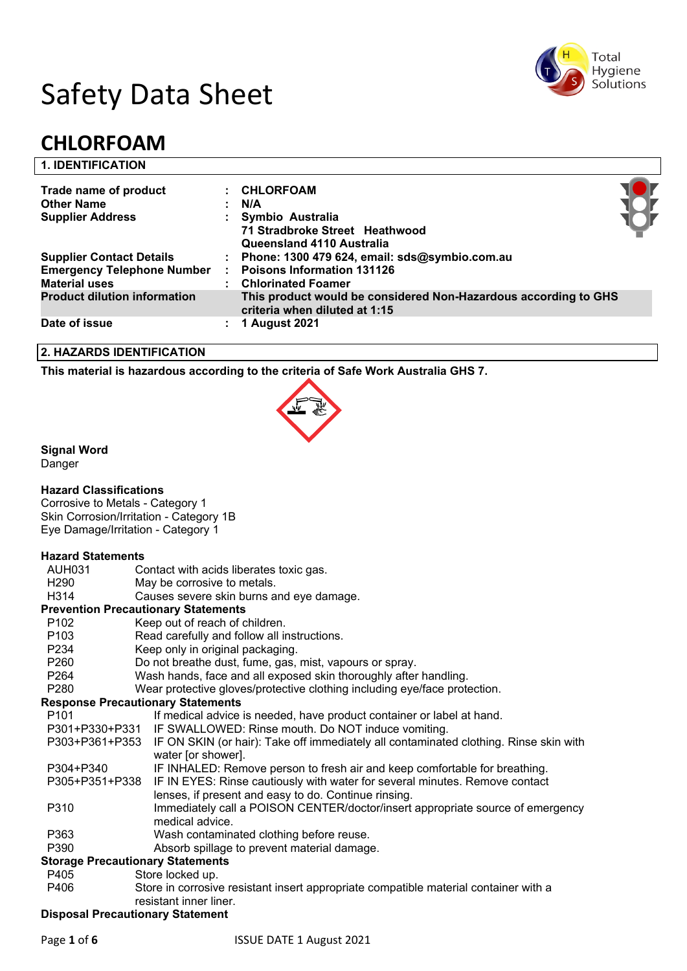

# Safety Data Sheet

# **CHLORFOAM**

#### **1. IDENTIFICATION**

| Trade name of product<br><b>Other Name</b>                | : CHLORFOAM<br>N/A                                                                               |  |
|-----------------------------------------------------------|--------------------------------------------------------------------------------------------------|--|
| <b>Supplier Address</b>                                   | Symbio Australia<br>71 Stradbroke Street Heathwood<br>Queensland 4110 Australia                  |  |
| <b>Supplier Contact Details</b>                           | : Phone: 1300 479 624, email: sds@symbio.com.au                                                  |  |
| <b>Emergency Telephone Number</b><br><b>Material uses</b> | <b>Poisons Information 131126</b><br>: Chlorinated Foamer                                        |  |
| <b>Product dilution information</b>                       | This product would be considered Non-Hazardous according to GHS<br>criteria when diluted at 1:15 |  |
| Date of issue                                             | 1 August 2021                                                                                    |  |

#### **2. HAZARDS IDENTIFICATION**

**This material is hazardous according to the criteria of Safe Work Australia GHS 7.**



#### **Signal Word**

Danger

#### **Hazard Classifications**

Corrosive to Metals - Category 1 Skin Corrosion/Irritation - Category 1B Eye Damage/Irritation - Category 1

#### **Hazard Statements**

| AUH031           | Contact with acids liberates toxic gas.                                                                                             |  |  |
|------------------|-------------------------------------------------------------------------------------------------------------------------------------|--|--|
| H <sub>290</sub> | May be corrosive to metals.                                                                                                         |  |  |
| H314             | Causes severe skin burns and eye damage.                                                                                            |  |  |
|                  | <b>Prevention Precautionary Statements</b>                                                                                          |  |  |
| P <sub>102</sub> | Keep out of reach of children.                                                                                                      |  |  |
| P <sub>103</sub> | Read carefully and follow all instructions.                                                                                         |  |  |
| P234             | Keep only in original packaging.                                                                                                    |  |  |
| P260             | Do not breathe dust, fume, gas, mist, vapours or spray.                                                                             |  |  |
| P264             | Wash hands, face and all exposed skin thoroughly after handling.                                                                    |  |  |
| P280             | Wear protective gloves/protective clothing including eye/face protection.                                                           |  |  |
|                  | <b>Response Precautionary Statements</b>                                                                                            |  |  |
| P <sub>101</sub> | If medical advice is needed, have product container or label at hand.                                                               |  |  |
|                  | P301+P330+P331 IF SWALLOWED: Rinse mouth. Do NOT induce vomiting.                                                                   |  |  |
|                  | P303+P361+P353 IF ON SKIN (or hair): Take off immediately all contaminated clothing. Rinse skin with<br>water [or shower].          |  |  |
| P304+P340        | IF INHALED: Remove person to fresh air and keep comfortable for breathing.                                                          |  |  |
| P305+P351+P338   | IF IN EYES: Rinse cautiously with water for several minutes. Remove contact<br>lenses, if present and easy to do. Continue rinsing. |  |  |
| P310             | Immediately call a POISON CENTER/doctor/insert appropriate source of emergency<br>medical advice.                                   |  |  |
| P363             | Wash contaminated clothing before reuse.                                                                                            |  |  |
| P390             | Absorb spillage to prevent material damage.                                                                                         |  |  |
|                  | <b>Storage Precautionary Statements</b>                                                                                             |  |  |
| P405             | Store locked up.                                                                                                                    |  |  |
| P406             | Store in corrosive resistant insert appropriate compatible material container with a                                                |  |  |
|                  | resistant inner liner.                                                                                                              |  |  |
|                  | <b>Disposal Precautionary Statement</b>                                                                                             |  |  |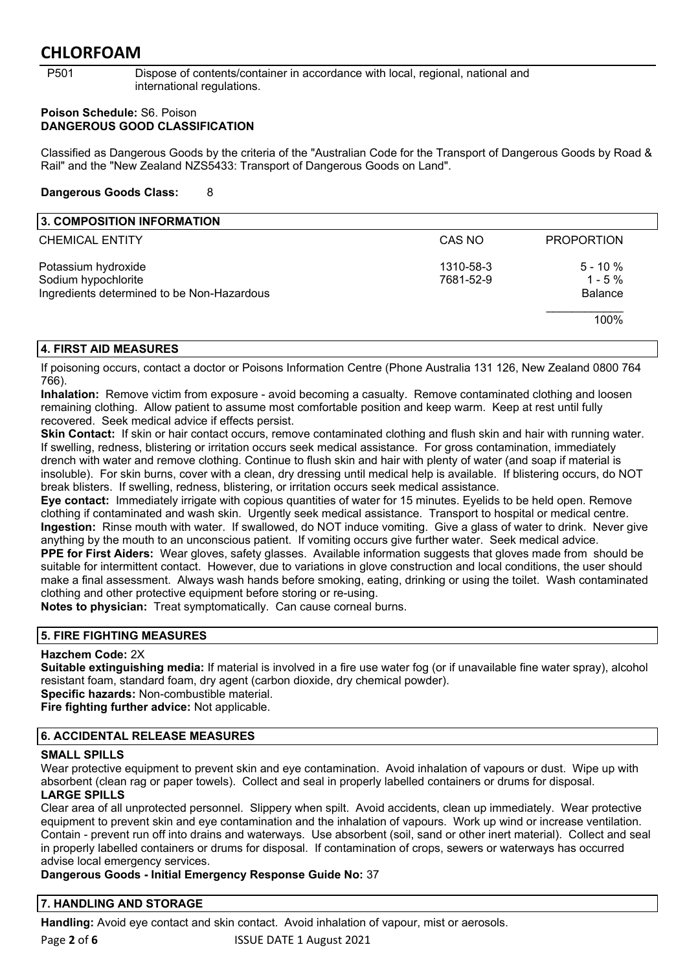P501 Dispose of contents/container in accordance with local, regional, national and international regulations.

#### **Poison Schedule:** S6. Poison **DANGEROUS GOOD CLASSIFICATION**

Classified as Dangerous Goods by the criteria of the "Australian Code for the Transport of Dangerous Goods by Road & Rail" and the "New Zealand NZS5433: Transport of Dangerous Goods on Land".

#### **Dangerous Goods Class:** 8

| 3. COMPOSITION INFORMATION                                                               |                        |                                           |
|------------------------------------------------------------------------------------------|------------------------|-------------------------------------------|
| <b>CHEMICAL ENTITY</b>                                                                   | CAS NO                 | <b>PROPORTION</b>                         |
| Potassium hydroxide<br>Sodium hypochlorite<br>Ingredients determined to be Non-Hazardous | 1310-58-3<br>7681-52-9 | $5 - 10 \%$<br>$1 - 5%$<br><b>Balance</b> |
|                                                                                          |                        | 100%                                      |

### **4. FIRST AID MEASURES**

If poisoning occurs, contact a doctor or Poisons Information Centre (Phone Australia 131 126, New Zealand 0800 764 766).

**Inhalation:** Remove victim from exposure - avoid becoming a casualty. Remove contaminated clothing and loosen remaining clothing. Allow patient to assume most comfortable position and keep warm. Keep at rest until fully recovered. Seek medical advice if effects persist.

**Skin Contact:** If skin or hair contact occurs, remove contaminated clothing and flush skin and hair with running water. If swelling, redness, blistering or irritation occurs seek medical assistance. For gross contamination, immediately drench with water and remove clothing. Continue to flush skin and hair with plenty of water (and soap if material is insoluble). For skin burns, cover with a clean, dry dressing until medical help is available. If blistering occurs, do NOT break blisters. If swelling, redness, blistering, or irritation occurs seek medical assistance.

**Eye contact:** Immediately irrigate with copious quantities of water for 15 minutes. Eyelids to be held open. Remove clothing if contaminated and wash skin. Urgently seek medical assistance. Transport to hospital or medical centre. **Ingestion:** Rinse mouth with water. If swallowed, do NOT induce vomiting. Give a glass of water to drink. Never give anything by the mouth to an unconscious patient. If vomiting occurs give further water. Seek medical advice. **PPE for First Aiders:** Wear gloves, safety glasses. Available information suggests that gloves made from should be

suitable for intermittent contact. However, due to variations in glove construction and local conditions, the user should make a final assessment. Always wash hands before smoking, eating, drinking or using the toilet. Wash contaminated clothing and other protective equipment before storing or re-using.

**Notes to physician:** Treat symptomatically. Can cause corneal burns.

#### **5. FIRE FIGHTING MEASURES**

#### **Hazchem Code:** 2X

**Suitable extinguishing media:** If material is involved in a fire use water fog (or if unavailable fine water spray), alcohol resistant foam, standard foam, dry agent (carbon dioxide, dry chemical powder).

**Specific hazards:** Non-combustible material. **Fire fighting further advice:** Not applicable.

#### **6. ACCIDENTAL RELEASE MEASURES**

#### **SMALL SPILLS**

Wear protective equipment to prevent skin and eye contamination. Avoid inhalation of vapours or dust. Wipe up with absorbent (clean rag or paper towels). Collect and seal in properly labelled containers or drums for disposal. **LARGE SPILLS**

Clear area of all unprotected personnel. Slippery when spilt. Avoid accidents, clean up immediately. Wear protective equipment to prevent skin and eye contamination and the inhalation of vapours. Work up wind or increase ventilation. Contain - prevent run off into drains and waterways. Use absorbent (soil, sand or other inert material). Collect and seal in properly labelled containers or drums for disposal. If contamination of crops, sewers or waterways has occurred advise local emergency services.

#### **Dangerous Goods - Initial Emergency Response Guide No:** 37

#### **7. HANDLING AND STORAGE**

Page 2 of 6 **12 ISSUE DATE 1 August 2021 Handling:** Avoid eye contact and skin contact. Avoid inhalation of vapour, mist or aerosols.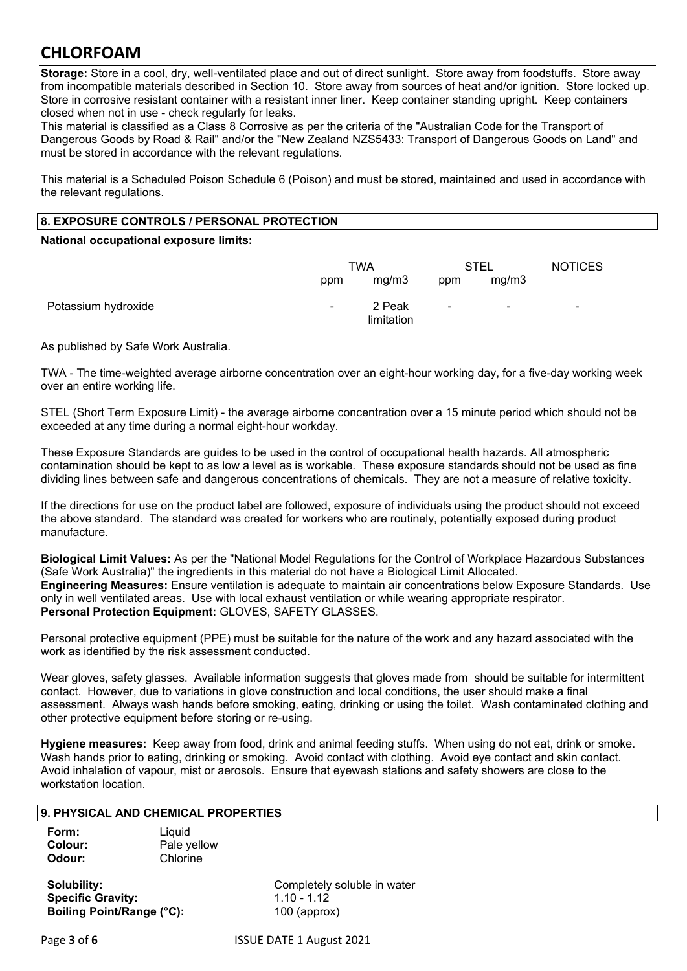**Storage:** Store in a cool, dry, well-ventilated place and out of direct sunlight. Store away from foodstuffs. Store away from incompatible materials described in Section 10. Store away from sources of heat and/or ignition. Store locked up. Store in corrosive resistant container with a resistant inner liner. Keep container standing upright. Keep containers closed when not in use - check regularly for leaks.

This material is classified as a Class 8 Corrosive as per the criteria of the "Australian Code for the Transport of Dangerous Goods by Road & Rail" and/or the "New Zealand NZS5433: Transport of Dangerous Goods on Land" and must be stored in accordance with the relevant regulations.

This material is a Scheduled Poison Schedule 6 (Poison) and must be stored, maintained and used in accordance with the relevant regulations.

#### **8. EXPOSURE CONTROLS / PERSONAL PROTECTION**

#### **National occupational exposure limits:**

|                     | <b>TWA</b>     |                      | STEL      |                          | <b>NOTICES</b>           |
|---------------------|----------------|----------------------|-----------|--------------------------|--------------------------|
|                     | ppm            | mg/m3                | ppm       | mg/m3                    |                          |
| Potassium hydroxide | $\blacksquare$ | 2 Peak<br>limitation | $\,$ $\,$ | $\overline{\phantom{a}}$ | $\overline{\phantom{0}}$ |

As published by Safe Work Australia.

TWA - The time-weighted average airborne concentration over an eight-hour working day, for a five-day working week over an entire working life.

STEL (Short Term Exposure Limit) - the average airborne concentration over a 15 minute period which should not be exceeded at any time during a normal eight-hour workday.

These Exposure Standards are guides to be used in the control of occupational health hazards. All atmospheric contamination should be kept to as low a level as is workable. These exposure standards should not be used as fine dividing lines between safe and dangerous concentrations of chemicals. They are not a measure of relative toxicity.

If the directions for use on the product label are followed, exposure of individuals using the product should not exceed the above standard. The standard was created for workers who are routinely, potentially exposed during product manufacture.

**Biological Limit Values:** As per the "National Model Regulations for the Control of Workplace Hazardous Substances (Safe Work Australia)" the ingredients in this material do not have a Biological Limit Allocated. **Engineering Measures:** Ensure ventilation is adequate to maintain air concentrations below Exposure Standards. Use only in well ventilated areas. Use with local exhaust ventilation or while wearing appropriate respirator. **Personal Protection Equipment:** GLOVES, SAFETY GLASSES.

Personal protective equipment (PPE) must be suitable for the nature of the work and any hazard associated with the work as identified by the risk assessment conducted.

Wear gloves, safety glasses. Available information suggests that gloves made from should be suitable for intermittent contact. However, due to variations in glove construction and local conditions, the user should make a final assessment. Always wash hands before smoking, eating, drinking or using the toilet. Wash contaminated clothing and other protective equipment before storing or re-using.

**Hygiene measures:** Keep away from food, drink and animal feeding stuffs. When using do not eat, drink or smoke. Wash hands prior to eating, drinking or smoking. Avoid contact with clothing. Avoid eye contact and skin contact. Avoid inhalation of vapour, mist or aerosols. Ensure that eyewash stations and safety showers are close to the workstation location.

#### **9. PHYSICAL AND CHEMICAL PROPERTIES**

| Form:   | Liquid      |
|---------|-------------|
| Colour: | Pale yellow |
| Odour:  | Chlorine    |

**Specific Gravity:** 1.10 - 1.12 **Boiling Point/Range (°C):** 100 (approx)

**Solubility:** Completely soluble in water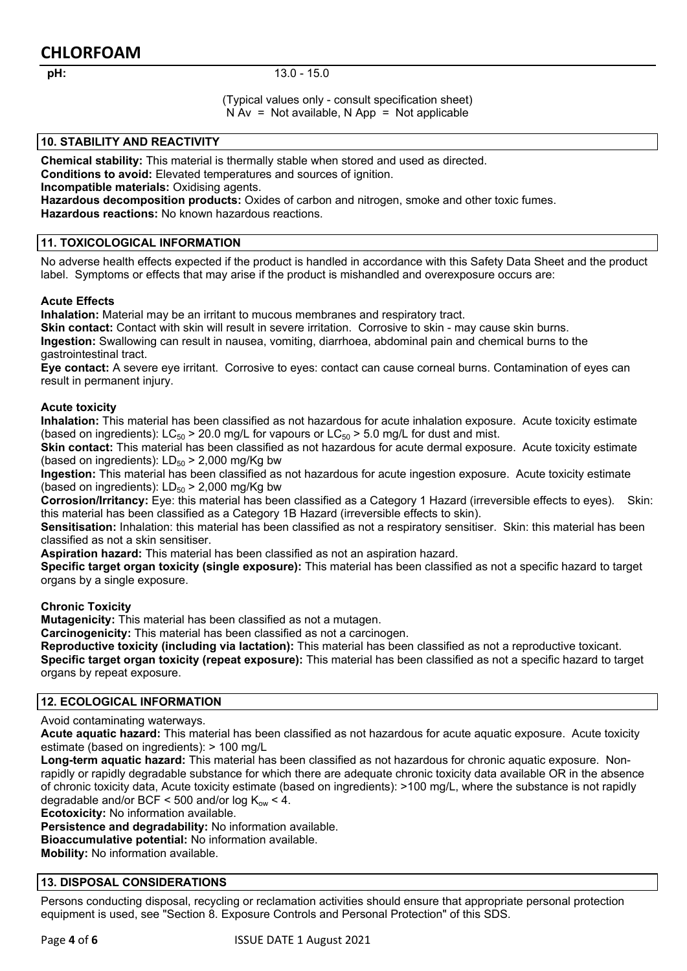#### **pH:** 13.0 - 15.0

(Typical values only - consult specification sheet)  $N Av = Not available$ ,  $N App = Not applicable$ 

#### **10. STABILITY AND REACTIVITY**

**Chemical stability:** This material is thermally stable when stored and used as directed. **Conditions to avoid:** Elevated temperatures and sources of ignition.

**Incompatible materials:** Oxidising agents.

**Hazardous decomposition products:** Oxides of carbon and nitrogen, smoke and other toxic fumes. **Hazardous reactions:** No known hazardous reactions.

#### **11. TOXICOLOGICAL INFORMATION**

No adverse health effects expected if the product is handled in accordance with this Safety Data Sheet and the product label. Symptoms or effects that may arise if the product is mishandled and overexposure occurs are:

#### **Acute Effects**

**Inhalation:** Material may be an irritant to mucous membranes and respiratory tract.

**Skin contact:** Contact with skin will result in severe irritation. Corrosive to skin - may cause skin burns. **Ingestion:** Swallowing can result in nausea, vomiting, diarrhoea, abdominal pain and chemical burns to the gastrointestinal tract.

**Eye contact:** A severe eye irritant. Corrosive to eyes: contact can cause corneal burns. Contamination of eyes can result in permanent injury.

#### **Acute toxicity**

**Inhalation:** This material has been classified as not hazardous for acute inhalation exposure. Acute toxicity estimate (based on ingredients):  $LC_{50}$  > 20.0 mg/L for vapours or  $LC_{50}$  > 5.0 mg/L for dust and mist.

**Skin contact:** This material has been classified as not hazardous for acute dermal exposure. Acute toxicity estimate (based on ingredients):  $LD_{50}$  > 2,000 mg/Kg bw

**Ingestion:** This material has been classified as not hazardous for acute ingestion exposure. Acute toxicity estimate (based on ingredients):  $LD_{50}$  > 2,000 mg/Kg bw

**Corrosion/Irritancy:** Eye: this material has been classified as a Category 1 Hazard (irreversible effects to eyes). Skin: this material has been classified as a Category 1B Hazard (irreversible effects to skin).

**Sensitisation:** Inhalation: this material has been classified as not a respiratory sensitiser. Skin: this material has been classified as not a skin sensitiser.

**Aspiration hazard:** This material has been classified as not an aspiration hazard.

**Specific target organ toxicity (single exposure):** This material has been classified as not a specific hazard to target organs by a single exposure.

#### **Chronic Toxicity**

**Mutagenicity:** This material has been classified as not a mutagen.

**Carcinogenicity:** This material has been classified as not a carcinogen.

**Reproductive toxicity (including via lactation):** This material has been classified as not a reproductive toxicant. **Specific target organ toxicity (repeat exposure):** This material has been classified as not a specific hazard to target organs by repeat exposure.

#### **12. ECOLOGICAL INFORMATION**

Avoid contaminating waterways.

**Acute aquatic hazard:** This material has been classified as not hazardous for acute aquatic exposure. Acute toxicity estimate (based on ingredients): > 100 mg/L

**Long-term aquatic hazard:** This material has been classified as not hazardous for chronic aquatic exposure. Nonrapidly or rapidly degradable substance for which there are adequate chronic toxicity data available OR in the absence of chronic toxicity data, Acute toxicity estimate (based on ingredients): >100 mg/L, where the substance is not rapidly degradable and/or BCF < 500 and/or log  $K_{ow}$  < 4.

**Ecotoxicity:** No information available.

**Persistence and degradability:** No information available. **Bioaccumulative potential:** No information available.

**Mobility:** No information available.

#### **13. DISPOSAL CONSIDERATIONS**

Persons conducting disposal, recycling or reclamation activities should ensure that appropriate personal protection equipment is used, see "Section 8. Exposure Controls and Personal Protection" of this SDS.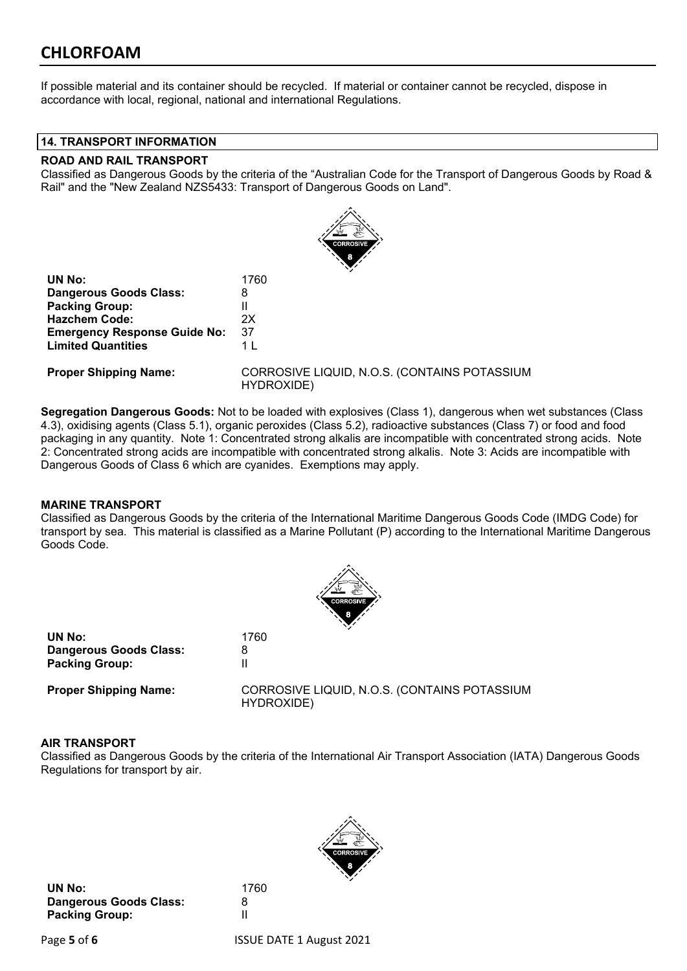If possible material and its container should be recycled. If material or container cannot be recycled, dispose in accordance with local, regional, national and international Regulations.

#### **14. TRANSPORT INFORMATION**

#### **ROAD AND RAIL TRANSPORT**

Classified as Dangerous Goods by the criteria of the "Australian Code for the Transport of Dangerous Goods by Road & Rail" and the "New Zealand NZS5433: Transport of Dangerous Goods on Land".



| 1760           |
|----------------|
| 8              |
| Ш              |
| 2x             |
| 37             |
| 1 <sup>1</sup> |
|                |

**Proper Shipping Name:** CORROSIVE LIQUID, N.O.S. (CONTAINS POTASSIUM HYDROXIDE)

**Segregation Dangerous Goods:** Not to be loaded with explosives (Class 1), dangerous when wet substances (Class 4.3), oxidising agents (Class 5.1), organic peroxides (Class 5.2), radioactive substances (Class 7) or food and food packaging in any quantity. Note 1: Concentrated strong alkalis are incompatible with concentrated strong acids. Note 2: Concentrated strong acids are incompatible with concentrated strong alkalis. Note 3: Acids are incompatible with Dangerous Goods of Class 6 which are cyanides. Exemptions may apply.

#### **MARINE TRANSPORT**

Classified as Dangerous Goods by the criteria of the International Maritime Dangerous Goods Code (IMDG Code) for transport by sea. This material is classified as a Marine Pollutant (P) according to the International Maritime Dangerous Goods Code.



| UN No:                        | 1760 |
|-------------------------------|------|
| <b>Dangerous Goods Class:</b> | 8    |
| <b>Packing Group:</b>         | Ш    |
|                               |      |

**Proper Shipping Name:** CORROSIVE LIQUID, N.O.S. (CONTAINS POTASSIUM HYDROXIDE)

#### **AIR TRANSPORT**

Classified as Dangerous Goods by the criteria of the International Air Transport Association (IATA) Dangerous Goods Regulations for transport by air.

**UN No:** 1760 **Dangerous Goods Class:** 8 **Packing Group:** II

Page **5** of **6** ISSUE DATE 1 August 2021